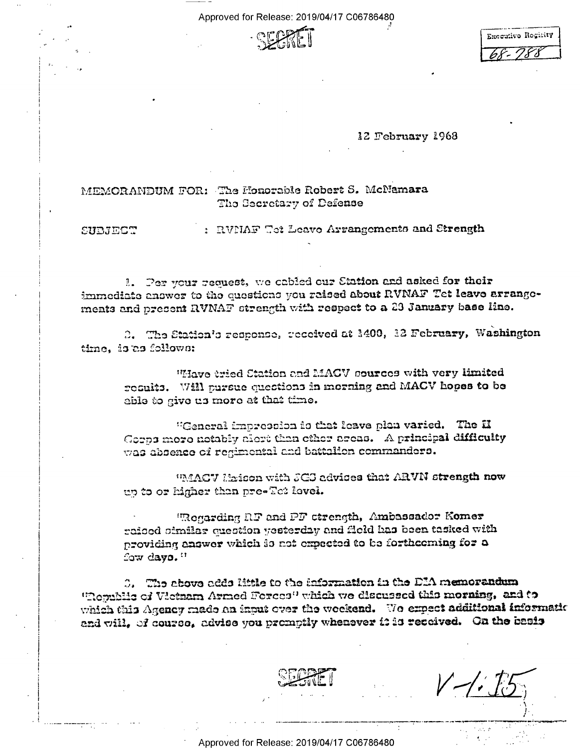Approved for Release: 2019/04/17 C06786480



| Encoulive Regisity |  |
|--------------------|--|
|                    |  |

12 February 1968

## MEMORANDUM FOR: The Honorable Robert S. McNamara The Secretary of Defense

SUBJECT

: RVMAF Tet Leave Arrangements and Strength

1. Per your request, we cabled our Station and asked for their immediate anawer to the questions you raised about RVNAF Tet leave arrangements and present RVNAF strength with respect to a 23 January base line.

2. The Station's response, received at 1400, 12 February, Washington time, is as follows:

"Have tried Station and MACV sources with very limited results. Will pursue questions in merning and MACV hopes to be able to give us more at that time.

"General impression is that leave plan varied. The H Gorps more notably alort than other areas. A principal difficulty was absence of regimental and battalion commanders.

"MACV Maison with JGJ advices that ARVN strength now up to or higher than pre-Tet level.

"Regarding RF and PF etrength, Ambassador Komer raised similar question yesterday and field has been tasked with providing answer which is not expected to be forthcoming for a fow days."

3. The above adds little to the information in the DIA memorandum "Republic of Vietnam Armed Forces" which we discussed this morning, and to which this Agency made an input over the weekend. We expect additional information and will, of course, advise you promptly whenever it is received. On the basis